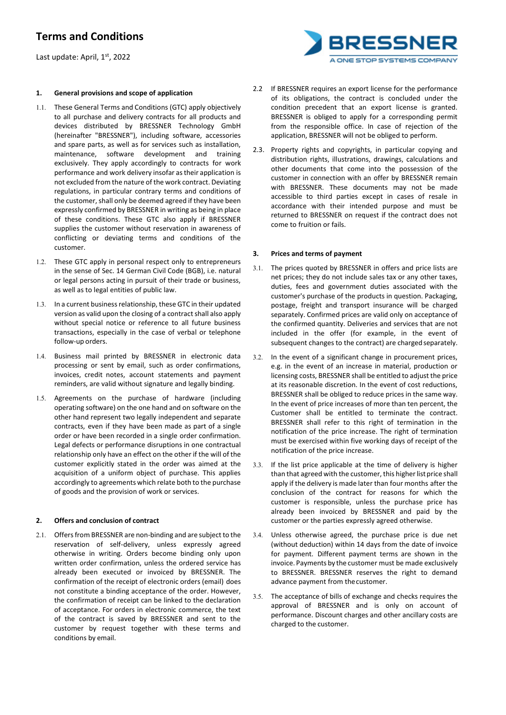Last update: April, 1st, 2022

### **1. General provisions and scope of application**

- 1.1. These General Terms and Conditions (GTC) apply objectively to all purchase and delivery contracts for all products and devices distributed by BRESSNER Technology GmbH (hereinafter "BRESSNER"), including software, accessories and spare parts, as well as for services such as installation, maintenance, software development and training exclusively. They apply accordingly to contracts for work performance and work delivery insofar astheir application is not excluded from the nature of the work contract. Deviating regulations, in particular contrary terms and conditions of the customer, shall only be deemed agreed if they have been expressly confirmed by BRESSNER in writing as being in place of these conditions. These GTC also apply if BRESSNER supplies the customer without reservation in awareness of conflicting or deviating terms and conditions of the customer.
- 1.2. These GTC apply in personal respect only to entrepreneurs in the sense of Sec. 14 German Civil Code (BGB), i.e. natural or legal persons acting in pursuit of their trade or business, as well as to legal entities of public law.
- 1.3. In a current business relationship, these GTC in their updated version as valid upon the closing of a contract shall also apply without special notice or reference to all future business transactions, especially in the case of verbal or telephone follow-up orders.
- 1.4. Business mail printed by BRESSNER in electronic data processing or sent by email, such as order confirmations, invoices, credit notes, account statements and payment reminders, are valid without signature and legally binding.
- 1.5. Agreements on the purchase of hardware (including operating software) on the one hand and on software on the other hand represent two legally independent and separate contracts, even if they have been made as part of a single order or have been recorded in a single order confirmation. Legal defects or performance disruptions in one contractual relationship only have an effect on the other if the will of the customer explicitly stated in the order was aimed at the acquisition of a uniform object of purchase. This applies accordingly to agreements which relate both to the purchase of goods and the provision of work or services.

#### **2. Offers and conclusion of contract**

2.1. Offers from BRESSNER are non-binding and are subject to the reservation of self-delivery, unless expressly agreed otherwise in writing. Orders become binding only upon written order confirmation, unless the ordered service has already been executed or invoiced by BRESSNER. The confirmation of the receipt of electronic orders (email) does not constitute a binding acceptance of the order. However, the confirmation of receipt can be linked to the declaration of acceptance. For orders in electronic commerce, the text of the contract is saved by BRESSNER and sent to the customer by request together with these terms and conditions by email.

- 2.2 If BRESSNER requires an export license for the performance of its obligations, the contract is concluded under the condition precedent that an export license is granted. BRESSNER is obliged to apply for a corresponding permit from the responsible office. In case of rejection of the application, BRESSNER will not be obliged to perform.
- 2.3. Property rights and copyrights, in particular copying and distribution rights, illustrations, drawings, calculations and other documents that come into the possession of the customer in connection with an offer by BRESSNER remain with BRESSNER. These documents may not be made accessible to third parties except in cases of resale in accordance with their intended purpose and must be returned to BRESSNER on request if the contract does not come to fruition or fails.

### **3. Prices and terms of payment**

- 3.1. The prices quoted by BRESSNER in offers and price lists are net prices; they do not include sales tax or any other taxes, duties, fees and government duties associated with the customer's purchase of the products in question. Packaging, postage, freight and transport insurance will be charged separately. Confirmed prices are valid only on acceptance of the confirmed quantity. Deliveries and services that are not included in the offer (for example, in the event of subsequent changes to the contract) are charged separately.
- 3.2. In the event of a significant change in procurement prices, e.g. in the event of an increase in material, production or licensing costs, BRESSNER shall be entitled to adjust the price at its reasonable discretion. In the event of cost reductions, BRESSNER shall be obliged to reduce prices in the same way. In the event of price increases of more than ten percent, the Customer shall be entitled to terminate the contract. BRESSNER shall refer to this right of termination in the notification of the price increase. The right of termination must be exercised within five working days of receipt of the notification of the price increase.
- 3.3. If the list price applicable at the time of delivery is higher than that agreed with the customer, this higher list price shall apply if the delivery is made later than four months after the conclusion of the contract for reasons for which the customer is responsible, unless the purchase price has already been invoiced by BRESSNER and paid by the customer or the parties expressly agreed otherwise.
- 3.4. Unless otherwise agreed, the purchase price is due net (without deduction) within 14 days from the date of invoice for payment. Different payment terms are shown in the invoice. Payments by the customer must be made exclusively to BRESSNER. BRESSNER reserves the right to demand advance payment from thecustomer.
- 3.5. The acceptance of bills of exchange and checks requires the approval of BRESSNER and is only on account of performance. Discount charges and other ancillary costs are charged to the customer.

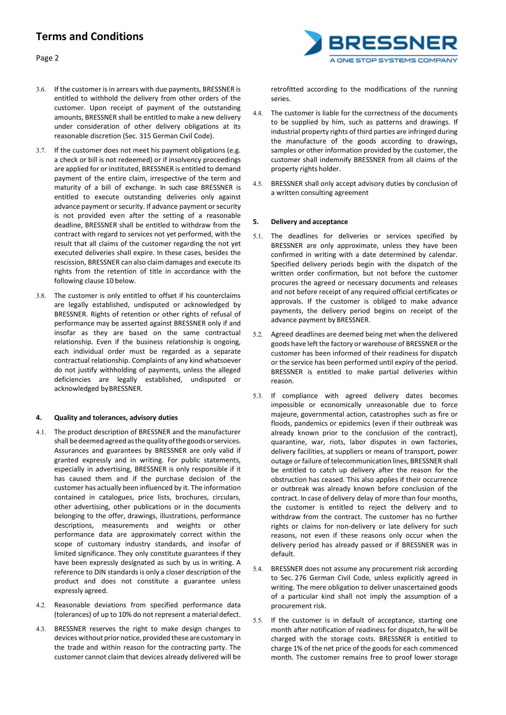Page 2



- 3.6. If the customer is in arrears with due payments, BRESSNER is entitled to withhold the delivery from other orders of the customer. Upon receipt of payment of the outstanding amounts, BRESSNER shall be entitled to make a new delivery under consideration of other delivery obligations at its reasonable discretion (Sec. 315 German Civil Code).
- 3.7. If the customer does not meet his payment obligations (e.g. a check or bill is not redeemed) or if insolvency proceedings are applied for or instituted, BRESSNER is entitled to demand payment of the entire claim, irrespective of the term and maturity of a bill of exchange. In such case BRESSNER is entitled to execute outstanding deliveries only against advance payment or security. If advance payment or security is not provided even after the setting of a reasonable deadline, BRESSNER shall be entitled to withdraw from the contract with regard to services not yet performed, with the result that all claims of the customer regarding the not yet executed deliveries shall expire. In these cases, besides the rescission, BRESSNER can also claim damages and execute its rights from the retention of title in accordance with the following clause 10 below.
- 3.8. The customer is only entitled to offset if his counterclaims are legally established, undisputed or acknowledged by BRESSNER. Rights of retention or other rights of refusal of performance may be asserted against BRESSNER only if and insofar as they are based on the same contractual relationship. Even if the business relationship is ongoing, each individual order must be regarded as a separate contractual relationship. Complaints of any kind whatsoever do not justify withholding of payments, unless the alleged deficiencies are legally established, undisputed or acknowledged byBRESSNER.

## **4. Quality and tolerances, advisory duties**

- 4.1. The product description of BRESSNER and the manufacturer shall be deemed agreed as the quality of the goods or services. Assurances and guarantees by BRESSNER are only valid if granted expressly and in writing. For public statements, especially in advertising, BRESSNER is only responsible if it has caused them and if the purchase decision of the customer has actually been influenced by it. The information contained in catalogues, price lists, brochures, circulars, other advertising, other publications or in the documents belonging to the offer, drawings, illustrations, performance descriptions, measurements and weights or other performance data are approximately correct within the scope of customary industry standards, and insofar of limited significance. They only constitute guarantees if they have been expressly designated as such by us in writing. A reference to DIN standards is only a closer description of the product and does not constitute a guarantee unless expressly agreed.
- 4.2. Reasonable deviations from specified performance data (tolerances) of up to 10% do not represent a material defect.
- 4.3. BRESSNER reserves the right to make design changes to devices without prior notice, provided these are customary in the trade and within reason for the contracting party. The customer cannot claim that devices already delivered will be

retrofitted according to the modifications of the running series.

- 4.4. The customer is liable for the correctness of the documents to be supplied by him, such as patterns and drawings. If industrial property rights of third parties are infringed during the manufacture of the goods according to drawings, samples or other information provided by the customer, the customer shall indemnify BRESSNER from all claims of the property rights holder.
- 4.5. BRESSNER shall only accept advisory duties by conclusion of a written consulting agreement

### **5. Delivery and acceptance**

- 5.1. The deadlines for deliveries or services specified by BRESSNER are only approximate, unless they have been confirmed in writing with a date determined by calendar. Specified delivery periods begin with the dispatch of the written order confirmation, but not before the customer procures the agreed or necessary documents and releases and not before receipt of any required official certificates or approvals. If the customer is obliged to make advance payments, the delivery period begins on receipt of the advance payment by BRESSNER.
- 5.2. Agreed deadlines are deemed being met when the delivered goods have left the factory or warehouse of BRESSNER or the customer has been informed of their readiness for dispatch or the service has been performed until expiry of the period. BRESSNER is entitled to make partial deliveries within reason.
- 5.3. If compliance with agreed delivery dates becomes impossible or economically unreasonable due to force majeure, governmental action, catastrophes such as fire or floods, pandemics or epidemics (even if their outbreak was already known prior to the conclusion of the contract), quarantine, war, riots, labor disputes in own factories, delivery facilities, at suppliers or means of transport, power outage or failure of telecommunication lines, BRESSNER shall be entitled to catch up delivery after the reason for the obstruction has ceased. This also applies if their occurrence or outbreak was already known before conclusion of the contract. In case of delivery delay of more than four months, the customer is entitled to reject the delivery and to withdraw from the contract. The customer has no further rights or claims for non-delivery or late delivery for such reasons, not even if these reasons only occur when the delivery period has already passed or if BRESSNER was in default.
- 5.4. BRESSNER does not assume any procurement risk according to Sec. 276 German Civil Code, unless explicitly agreed in writing. The mere obligation to deliver unascertained goods of a particular kind shall not imply the assumption of a procurement risk.
- 5.5. If the customer is in default of acceptance, starting one month after notification of readiness for dispatch, he will be charged with the storage costs. BRESSNER is entitled to charge 1% of the net price of the goods for each commenced month. The customer remains free to proof lower storage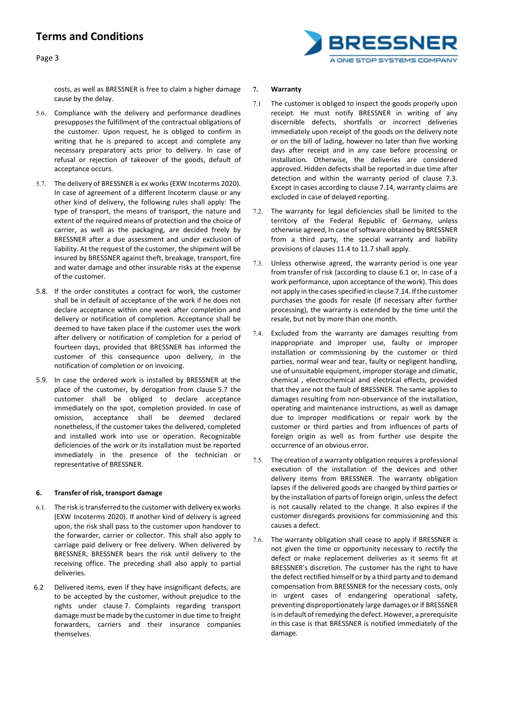



costs, as well as BRESSNER is free to claim a higher damage cause by the delay.

- 5.6. Compliance with the delivery and performance deadlines presupposes the fulfillment of the contractual obligations of the customer. Upon request, he is obliged to confirm in writing that he is prepared to accept and complete any necessary preparatory acts prior to delivery. In case of refusal or rejection of takeover of the goods, default of acceptance occurs.
- 5.7. The delivery of BRESSNER is ex works (EXW Incoterms 2020). In case of agreement of a different Incoterm clause or any other kind of delivery, the following rules shall apply: The type of transport, the means of transport, the nature and extent of the required means of protection and the choice of carrier, as well as the packaging, are decided freely by BRESSNER after a due assessment and under exclusion of liability. At the request of the customer, the shipment will be insured by BRESSNER against theft, breakage, transport, fire and water damage and other insurable risks at the expense of the customer.
- 5.8. If the order constitutes a contract for work, the customer shall be in default of acceptance of the work if he does not declare acceptance within one week after completion and delivery or notification of completion. Acceptance shall be deemed to have taken place if the customer uses the work after delivery or notification of completion for a period of fourteen days, provided that BRESSNER has informed the customer of this consequence upon delivery, in the notification of completion or on invoicing.
- 5.9. In case the ordered work is installed by BRESSNER at the place of the customer, by derogation from clause 5.7 the customer shall be obliged to declare acceptance immediately on the spot, completion provided. In case of omission, acceptance shall be deemed declared nonetheless, if the customer takes the delivered, completed and installed work into use or operation. Recognizable deficiencies of the work or its installation must be reported immediately in the presence of the technician or representative of BRESSNER.

## **6. Transfer of risk, transport damage**

- 6.1. The risk is transferred to the customer with delivery ex works (EXW Incoterms 2020). If another kind of delivery is agreed upon, the risk shall pass to the customer upon handover to the forwarder, carrier or collector. This shall also apply to carriage paid delivery or free delivery. When delivered by BRESSNER, BRESSNER bears the risk until delivery to the receiving office. The preceding shall also apply to partial deliveries.
- 6.2 Delivered items, even if they have insignificant defects, are to be accepted by the customer, without prejudice to the rights under clause 7. Complaints regarding transport damage must be made by the customer in due time to freight forwarders, carriers and their insurance companies themselves.

### **7. Warranty**

- 7.1 The customer is obliged to inspect the goods properly upon receipt. He must notify BRESSNER in writing of any discernible defects, shortfalls or incorrect deliveries immediately upon receipt of the goods on the delivery note or on the bill of lading, however no later than five working days after receipt and in any case before processing or installation. Otherwise, the deliveries are considered approved. Hidden defects shall be reported in due time after detection and within the warranty period of clause 7.3. Except in cases according to clause 7.14, warranty claims are excluded in case of delayed reporting.
- 7.2. The warranty for legal deficiencies shall be limited to the territory of the Federal Republic of Germany, unless otherwise agreed, In case of software obtained by BRESSNER from a third party, the special warranty and liability provisions of clauses 11.4 to 11.7 shall apply.
- 7.3. Unless otherwise agreed, the warranty period is one year from transfer of risk (according to clause 6.1 or, in case of a work performance, upon acceptance of the work). This does not apply in the cases specified in clause 7.14. If the customer purchases the goods for resale (if necessary after further processing), the warranty is extended by the time until the resale, but not by more than one month.
- 7.4. Excluded from the warranty are damages resulting from inappropriate and improper use, faulty or improper installation or commissioning by the customer or third parties, normal wear and tear, faulty or negligent handling, use of unsuitable equipment, improper storage and climatic, chemical , electrochemical and electrical effects, provided that they are not the fault of BRESSNER. The same applies to damages resulting from non-observance of the installation, operating and maintenance instructions, as well as damage due to improper modifications or repair work by the customer or third parties and from influences of parts of foreign origin as well as from further use despite the occurrence of an obvious error.
- 7.5. The creation of a warranty obligation requires a professional execution of the installation of the devices and other delivery items from BRESSNER. The warranty obligation lapses if the delivered goods are changed by third parties or by the installation of parts of foreign origin, unless the defect is not causally related to the change. It also expires if the customer disregards provisions for commissioning and this causes a defect.
- 7.6. The warranty obligation shall cease to apply if BRESSNER is not given the time or opportunity necessary to rectify the defect or make replacement deliveries as it seems fit at BRESSNER's discretion. The customer has the right to have the defect rectified himself or by a third party and to demand compensation from BRESSNER for the necessary costs, only in urgent cases of endangering operational safety, preventing disproportionately large damages or if BRESSNER is in default of remedying the defect. However, a prerequisite in this case is that BRESSNER is notified immediately of the damage.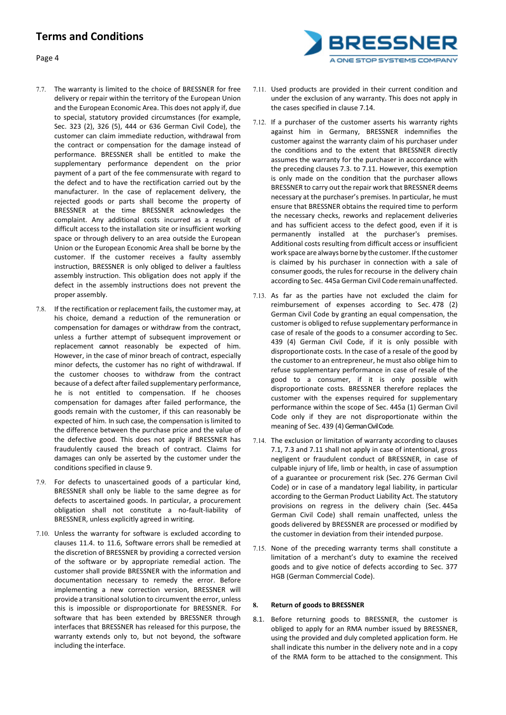

- 7.7. The warranty is limited to the choice of BRESSNER for free delivery or repair within the territory of the European Union and the European Economic Area. This does not apply if, due to special, statutory provided circumstances (for example, Sec. 323 (2), 326 (5), 444 or 636 German Civil Code), the customer can claim immediate reduction, withdrawal from the contract or compensation for the damage instead of performance. BRESSNER shall be entitled to make the supplementary performance dependent on the prior payment of a part of the fee commensurate with regard to the defect and to have the rectification carried out by the manufacturer. In the case of replacement delivery, the rejected goods or parts shall become the property of BRESSNER at the time BRESSNER acknowledges the complaint. Any additional costs incurred as a result of difficult access to the installation site or insufficient working space or through delivery to an area outside the European Union or the European Economic Area shall be borne by the customer. If the customer receives a faulty assembly instruction, BRESSNER is only obliged to deliver a faultless assembly instruction. This obligation does not apply if the defect in the assembly instructions does not prevent the proper assembly.
- 7.8. If the rectification or replacement fails, the customer may, at his choice, demand a reduction of the remuneration or compensation for damages or withdraw from the contract, unless a further attempt of subsequent improvement or replacement cannot reasonably be expected of him. However, in the case of minor breach of contract, especially minor defects, the customer has no right of withdrawal. If the customer chooses to withdraw from the contract because of a defect after failed supplementary performance, he is not entitled to compensation. If he chooses compensation for damages after failed performance, the goods remain with the customer, if this can reasonably be expected of him. In such case, the compensation is limited to the difference between the purchase price and the value of the defective good. This does not apply if BRESSNER has fraudulently caused the breach of contract. Claims for damages can only be asserted by the customer under the conditions specified in clause 9.
- 7.9. For defects to unascertained goods of a particular kind, BRESSNER shall only be liable to the same degree as for defects to ascertained goods. In particular, a procurement obligation shall not constitute a no-fault-liability of BRESSNER, unless explicitly agreed in writing.
- 7.10. Unless the warranty for software is excluded according to clauses 11.4. to 11.6, Software errors shall be remedied at the discretion of BRESSNER by providing a corrected version of the software or by appropriate remedial action. The customer shall provide BRESSNER with the information and documentation necessary to remedy the error. Before implementing a new correction version, BRESSNER will provide a transitional solution to circumvent the error, unless this is impossible or disproportionate for BRESSNER. For software that has been extended by BRESSNER through interfaces that BRESSNER has released for this purpose, the warranty extends only to, but not beyond, the software including the interface.
- 7.11. Used products are provided in their current condition and under the exclusion of any warranty. This does not apply in the cases specified in clause 7.14.
- 7.12. If a purchaser of the customer asserts his warranty rights against him in Germany, BRESSNER indemnifies the customer against the warranty claim of his purchaser under the conditions and to the extent that BRESSNER directly assumes the warranty for the purchaser in accordance with the preceding clauses 7.3. to 7.11. However, this exemption is only made on the condition that the purchaser allows BRESSNER to carry out the repair work that BRESSNER deems necessary at the purchaser's premises. In particular, he must ensure that BRESSNER obtains the required time to perform the necessary checks, reworks and replacement deliveries and has sufficient access to the defect good, even if it is permanently installed at the purchaser's premises. Additional costs resulting from difficult access or insufficient work space are always borne by the customer. If the customer is claimed by his purchaser in connection with a sale of consumer goods, the rules for recourse in the delivery chain according to Sec. 445a German Civil Code remain unaffected.
- 7.13. As far as the parties have not excluded the claim for reimbursement of expenses according to Sec. 478 (2) German Civil Code by granting an equal compensation, the customer is obliged to refuse supplementary performance in case of resale of the goods to a consumer according to Sec. 439 (4) German Civil Code, if it is only possible with disproportionate costs. In the case of a resale of the good by the customer to an entrepreneur, he must also oblige him to refuse supplementary performance in case of resale of the good to a consumer, if it is only possible with disproportionate costs. BRESSNER therefore replaces the customer with the expenses required for supplementary performance within the scope of Sec. 445a (1) German Civil Code only if they are not disproportionate within the meaning of Sec. 439 (4) German Civil Code.
- 7.14. The exclusion or limitation of warranty according to clauses 7.1, 7.3 and 7.11 shall not apply in case of intentional, gross negligent or fraudulent conduct of BRESSNER, in case of culpable injury of life, limb or health, in case of assumption of a guarantee or procurement risk (Sec. 276 German Civil Code) or in case of a mandatory legal liability, in particular according to the German Product Liability Act. The statutory provisions on regress in the delivery chain (Sec. 445a German Civil Code) shall remain unaffected, unless the goods delivered by BRESSNER are processed or modified by the customer in deviation from their intended purpose.
- 7.15. None of the preceding warranty terms shall constitute a limitation of a merchant's duty to examine the received goods and to give notice of defects according to Sec. 377 HGB (German Commercial Code).

## **8. Return of goods to BRESSNER**

8.1. Before returning goods to BRESSNER, the customer is obliged to apply for an RMA number issued by BRESSNER, using the provided and duly completed application form. He shall indicate this number in the delivery note and in a copy of the RMA form to be attached to the consignment. This

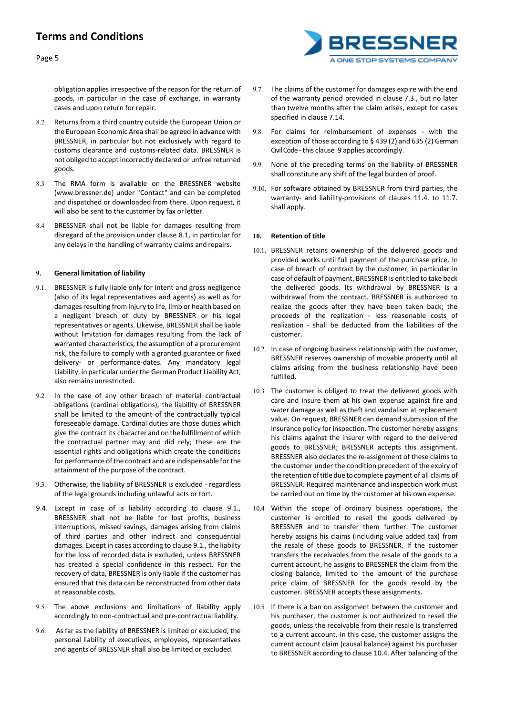

obligation applies irrespective of the reason for the return of goods, in particular in the case of exchange, in warranty cases and upon return for repair.

- 8.2 Returns from a third country outside the European Union or the European Economic Area shall be agreed in advance with BRESSNER, in particular but not exclusively with regard to customs clearance and customs-related data. BRESSNER is not obliged to accept incorrectly declared or unfree returned goods.
- 8.3 The RMA form is available on the BRESSNER website (www.bressner.de) under "Contact" and can be completed and dispatched or downloaded from there. Upon request, it will also be sent to the customer by fax or letter.
- 8.4 BRESSNER shall not be liable for damages resulting from disregard of the provision under clause 8.1, in particular for any delays in the handling of warranty claims and repairs.

## **9. General limitation of liability**

- 9.1. BRESSNER is fully liable only for intent and gross negligence (also of its legal representatives and agents) as well as for damages resulting from injury to life, limb or health based on a negligent breach of duty by BRESSNER or his legal representatives or agents. Likewise, BRESSNER shall be liable without limitation for damages resulting from the lack of warranted characteristics, the assumption of a procurement risk, the failure to comply with a granted guarantee or fixed delivery- or performance-dates. Any mandatory legal Liability, in particular under the German Product Liability Act, also remains unrestricted.
- 9.2. In the case of any other breach of material contractual obligations (cardinal obligations), the liability of BRESSNER shall be limited to the amount of the contractually typical foreseeable damage. Cardinal duties are those duties which give the contract its character and on the fulfillment of which the contractual partner may and did rely; these are the essential rights and obligations which create the conditions for performance ofthe contract and are indispensable for the attainment of the purpose of the contract.
- 9.3. Otherwise, the liability of BRESSNER is excluded regardless of the legal grounds including unlawful acts or tort.
- 9.4. Except in case of a liability according to clause 9.1., BRESSNER shall not be liable for lost profits, business interruptions, missed savings, damages arising from claims of third parties and other indirect and consequential damages. Except in cases according to clause 9.1., the liabilty for the loss of recorded data is excluded, unless BRESSNER has created a special confidence in this respect. For the recovery of data, BRESSNER is only liable if the customer has ensured that this data can be reconstructed from other data at reasonable costs.
- 9.5. The above exclusions and limitations of liability apply accordingly to non-contractual and pre-contractual liability.
- 9.6. As far as the liability of BRESSNER is limited or excluded, the personal liability of executives, employees, representatives and agents of BRESSNER shall also be limited or excluded.
- 9.7. The claims of the customer for damages expire with the end of the warranty period provided in clause 7.3., but no later than twelve months after the claim arises, except for cases specified in clause 7.14.
- 9.8. For claims for reimbursement of expenses with the exception of those according to § 439 (2) and 635 (2) German Civil Code -this clause 9 applies accordingly.
- 9.9. None of the preceding terms on the liability of BRESSNER shall constitute any shift of the legal burden of proof.
- 9.10. For software obtained by BRESSNER from third parties, the warranty- and liability-provisions of clauses 11.4. to 11.7. shall apply.

### **10. Retention of title**

- 10.1. BRESSNER retains ownership of the delivered goods and provided works until full payment of the purchase price. In case of breach of contract by the customer, in particular in case of default of payment, BRESSNER is entitled to take back the delivered goods. Its withdrawal by BRESSNER is a withdrawal from the contract. BRESSNER is authorized to realize the goods after they have been taken back; the proceeds of the realization - less reasonable costs of realization - shall be deducted from the liabilities of the customer.
- 10.2. In case of ongoing business relationship with the customer, BRESSNER reserves ownership of movable property until all claims arising from the business relationship have been fulfilled.
- 10.3 The customer is obliged to treat the delivered goods with care and insure them at his own expense against fire and water damage as well as theft and vandalism at replacement value. On request, BRESSNER can demand submission of the insurance policy for inspection. The customer hereby assigns his claims against the insurer with regard to the delivered goods to BRESSNER; BRESSNER accepts this assignment. BRESSNER also declares the re-assignment of these claims to the customer under the condition precedent of the expiry of the retentionoftitle due tocomplete payment of all claims of BRESSNER. Required maintenance and inspection work must be carried out on time by the customer at his own expense.
- 10.4 Within the scope of ordinary business operations, the customer is entitled to resell the goods delivered by BRESSNER and to transfer them further. The customer hereby assigns his claims (including value added tax) from the resale of these goods to BRESSNER. If the customer transfers the receivables from the resale of the goods to a current account, he assigns to BRESSNER the claim from the closing balance, limited to the amount of the purchase price claim of BRESSNER for the goods resold by the customer. BRESSNER accepts these assignments.
- 10.5 If there is a ban on assignment between the customer and his purchaser, the customer is not authorized to resell the goods, unless the receivable from their resale is transferred to a current account. In this case, the customer assigns the current account claim (causal balance) against his purchaser to BRESSNER according to clause 10.4. After balancing of the

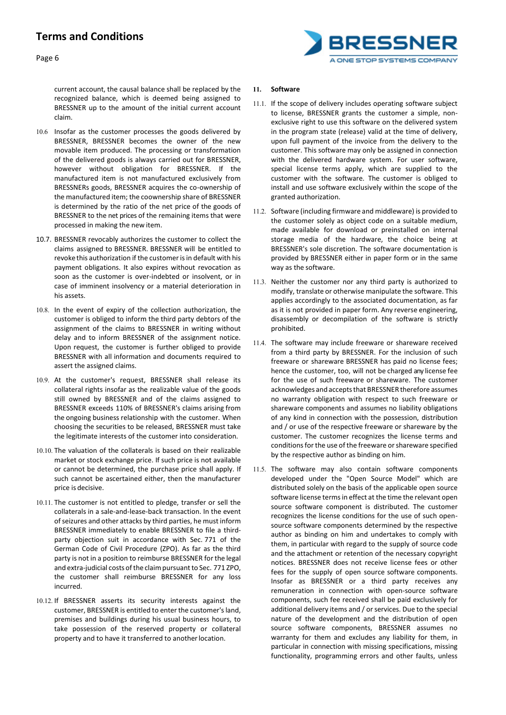Page 6



current account, the causal balance shall be replaced by the recognized balance, which is deemed being assigned to BRESSNER up to the amount of the initial current account claim.

- 10.6 Insofar as the customer processes the goods delivered by BRESSNER, BRESSNER becomes the owner of the new movable item produced. The processing or transformation of the delivered goods is always carried out for BRESSNER, however without obligation for BRESSNER. If the manufactured item is not manufactured exclusively from BRESSNERs goods, BRESSNER acquires the co-ownership of the manufactured item; the coownership share of BRESSNER is determined by the ratio of the net price of the goods of BRESSNER to the net prices of the remaining items that were processed in making the new item.
- 10.7. BRESSNER revocably authorizes the customer to collect the claims assigned to BRESSNER. BRESSNER will be entitled to revoke this authorization if the customer is in default with his payment obligations. It also expires without revocation as soon as the customer is over-indebted or insolvent, or in case of imminent insolvency or a material deterioration in his assets.
- 10.8. In the event of expiry of the collection authorization, the customer is obliged to inform the third party debtors of the assignment of the claims to BRESSNER in writing without delay and to inform BRESSNER of the assignment notice. Upon request, the customer is further obliged to provide BRESSNER with all information and documents required to assert the assigned claims.
- 10.9. At the customer's request, BRESSNER shall release its collateral rights insofar as the realizable value of the goods still owned by BRESSNER and of the claims assigned to BRESSNER exceeds 110% of BRESSNER's claims arising from the ongoing business relationship with the customer. When choosing the securities to be released, BRESSNER must take the legitimate interests of the customer into consideration.
- 10.10. The valuation of the collaterals is based on their realizable market or stock exchange price. If such price is not available or cannot be determined, the purchase price shall apply. If such cannot be ascertained either, then the manufacturer price is decisive.
- 10.11. The customer is not entitled to pledge, transfer or sell the collaterals in a sale-and-lease-back transaction. In the event of seizures and other attacks by third parties, he must inform BRESSNER immediately to enable BRESSNER to file a thirdparty objection suit in accordance with Sec. 771 of the German Code of Civil Procedure (ZPO). As far as the third party is not in a position to reimburse BRESSNER forthe legal and extra-judicial costs of the claim pursuant to Sec. 771 ZPO, the customer shall reimburse BRESSNER for any loss incurred.
- 10.12. If BRESSNER asserts its security interests against the customer, BRESSNER is entitled to enter the customer's land, premises and buildings during his usual business hours, to take possession of the reserved property or collateral property and to have it transferred to anotherlocation.

### **11. Software**

- 11.1. If the scope of delivery includes operating software subject to license, BRESSNER grants the customer a simple, nonexclusive right to use this software on the delivered system in the program state (release) valid at the time of delivery, upon full payment of the invoice from the delivery to the customer. This software may only be assigned in connection with the delivered hardware system. For user software, special license terms apply, which are supplied to the customer with the software. The customer is obliged to install and use software exclusively within the scope of the granted authorization.
- 11.2. Software (including firmware and middleware) is provided to the customer solely as object code on a suitable medium, made available for download or preinstalled on internal storage media of the hardware, the choice being at BRESSNER's sole discretion. The software documentation is provided by BRESSNER either in paper form or in the same way as the software.
- 11.3. Neither the customer nor any third party is authorized to modify, translate or otherwise manipulate the software. This applies accordingly to the associated documentation, as far as it is not provided in paper form. Any reverse engineering, disassembly or decompilation of the software is strictly prohibited.
- 11.4. The software may include freeware or shareware received from a third party by BRESSNER. For the inclusion of such freeware or shareware BRESSNER has paid no license fees; hence the customer, too, will not be charged any license fee for the use of such freeware or shareware. The customer acknowledges andacceptsthat BRESSNER therefore assumes no warranty obligation with respect to such freeware or shareware components and assumes no liability obligations of any kind in connection with the possession, distribution and / or use of the respective freeware or shareware by the customer. The customer recognizes the license terms and conditions for the use of the freeware or shareware specified by the respective author as binding on him.
- 11.5. The software may also contain software components developed under the "Open Source Model" which are distributed solely on the basis of the applicable open source software license terms in effect at the time the relevant open source software component is distributed. The customer recognizes the license conditions for the use of such opensource software components determined by the respective author as binding on him and undertakes to comply with them, in particular with regard to the supply of source code and the attachment or retention of the necessary copyright notices. BRESSNER does not receive license fees or other fees for the supply of open source software components. Insofar as BRESSNER or a third party receives any remuneration in connection with open-source software components, such fee received shall be paid exclusively for additional delivery items and / or services. Due to the special nature of the development and the distribution of open source software components, BRESSNER assumes no warranty for them and excludes any liability for them, in particular in connection with missing specifications, missing functionality, programming errors and other faults, unless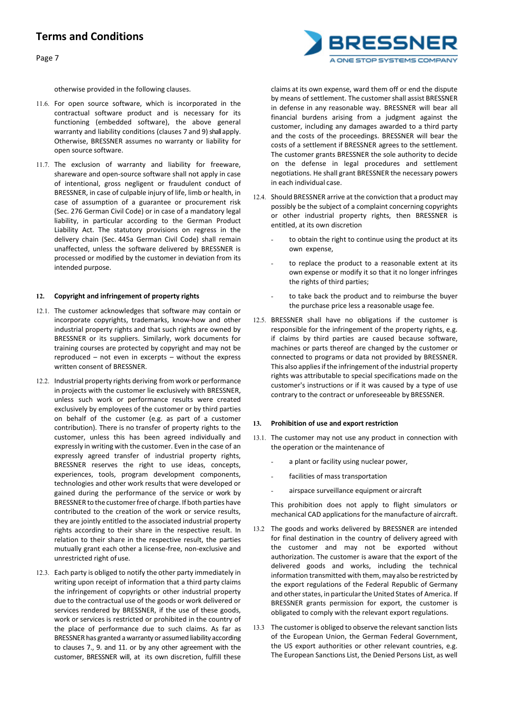Page 7

otherwise provided in the following clauses.

- 11.6. For open source software, which is incorporated in the contractual software product and is necessary for its functioning (embedded software), the above general warranty and liability conditions (clauses 7 and 9) shall apply. Otherwise, BRESSNER assumes no warranty or liability for open source software.
- 11.7. The exclusion of warranty and liability for freeware, shareware and open-source software shall not apply in case of intentional, gross negligent or fraudulent conduct of BRESSNER, in case of culpable injury of life, limb or health, in case of assumption of a guarantee or procurement risk (Sec. 276 German Civil Code) or in case of a mandatory legal liability, in particular according to the German Product Liability Act. The statutory provisions on regress in the delivery chain (Sec. 445a German Civil Code) shall remain unaffected, unless the software delivered by BRESSNER is processed or modified by the customer in deviation from its intended purpose.

### **12. Copyright and infringement of property rights**

- 12.1. The customer acknowledges that software may contain or incorporate copyrights, trademarks, know-how and other industrial property rights and that such rights are owned by BRESSNER or its suppliers. Similarly, work documents for training courses are protected by copyright and may not be reproduced – not even in excerpts – without the express written consent of BRESSNER.
- 12.2. Industrial property rights deriving from work or performance in projects with the customer lie exclusively with BRESSNER, unless such work or performance results were created exclusively by employees of the customer or by third parties on behalf of the customer (e.g. as part of a customer contribution). There is no transfer of property rights to the customer, unless this has been agreed individually and expressly in writing with the customer. Even in the case of an expressly agreed transfer of industrial property rights, BRESSNER reserves the right to use ideas, concepts, experiences, tools, program development components, technologies and other work results that were developed or gained during the performance of the service or work by BRESSNER to the customerfree of charge. If both parties have contributed to the creation of the work or service results, they are jointly entitled to the associated industrial property rights according to their share in the respective result. In relation to their share in the respective result, the parties mutually grant each other a license-free, non-exclusive and unrestricted right of use.
- 12.3. Each party is obliged to notify the other party immediately in writing upon receipt of information that a third party claims the infringement of copyrights or other industrial property due to the contractual use of the goods or work delivered or services rendered by BRESSNER, if the use of these goods, work or services is restricted or prohibited in the country of the place of performance due to such claims. As far as BRESSNER has granted a warranty or assumed liability according to clauses 7., 9. and 11. or by any other agreement with the customer, BRESSNER will, at its own discretion, fulfill these

claims at its own expense, ward them off or end the dispute by means of settlement. The customer shall assist BRESSNER in defense in any reasonable way. BRESSNER will bear all financial burdens arising from a judgment against the customer, including any damages awarded to a third party and the costs of the proceedings. BRESSNER will bear the costs of a settlement if BRESSNER agrees to the settlement. The customer grants BRESSNER the sole authority to decide on the defense in legal procedures and settlement negotiations. He shall grant BRESSNER the necessary powers in each individual case.

- 12.4. Should BRESSNER arrive at the conviction that a product may possibly be the subject of a complaint concerning copyrights or other industrial property rights, then BRESSNER is entitled, at its own discretion
	- to obtain the right to continue using the product at its own expense,
	- to replace the product to a reasonable extent at its own expense or modify it so that it no longer infringes the rights of third parties;
	- to take back the product and to reimburse the buyer the purchase price less a reasonable usage fee.
- 12.5. BRESSNER shall have no obligations if the customer is responsible for the infringement of the property rights, e.g. if claims by third parties are caused because software, machines or parts thereof are changed by the customer or connected to programs or data not provided by BRESSNER. This also applies if the infringement of the industrial property rights was attributable to special specifications made on the customer's instructions or if it was caused by a type of use contrary to the contract or unforeseeable by BRESSNER.

#### **13. Prohibition of use and export restriction**

- 13.1. The customer may not use any product in connection with the operation or the maintenance of
	- a plant or facility using nuclear power,
	- facilities of mass transportation
		- airspace surveillance equipment or aircraft

This prohibition does not apply to flight simulators or mechanical CAD applications for the manufacture of aircraft.

- 13.2 The goods and works delivered by BRESSNER are intended for final destination in the country of delivery agreed with the customer and may not be exported without authorization. The customer is aware that the export of the delivered goods and works, including the technical information transmitted with them, may also be restricted by the export regulations of the Federal Republic of Germany and other states, in particular the United States of America. If BRESSNER grants permission for export, the customer is obligated to comply with the relevant export regulations.
- 13.3 The customer is obliged to observe the relevant sanction lists of the European Union, the German Federal Government, the US export authorities or other relevant countries, e.g. The European Sanctions List, the Denied Persons List, as well